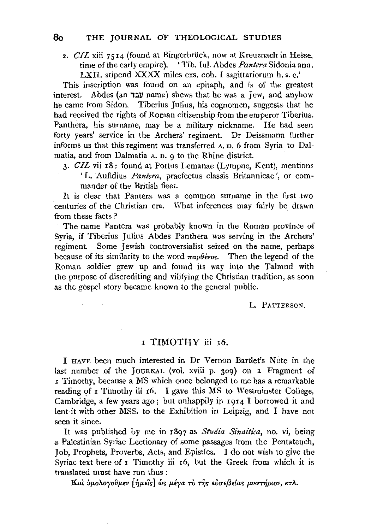2. *CIL* xiii 7514 (found at Bingerbriick, now at Kreuznach in Hesse, time of the early empire). 'Tib. Iul. Abdes *Pantera* Sidonia ann. LXII. stipend XXXX miles exs. coh. I sagittariorum h. s. e.'

This inscription was found on an epitaph, and is of the greatest interest. Abdes (an עבד name) shews that he was a Jew, and anyhow he came from Sidon. Tiberius Julius, his cognomen, suggests that he had received the rights of Roman citizenship from the emperor Tiberius. Panthera, his surname, may be a military nickname. He had seen forty years' service in the Archers' regiment. Dr Deissmann further informs us that this regiment was transferred A. D. 6 from Syria to Dalmatia, and from Dalmatia A. D. 9 to the Rhine district.

3· *CIL* vii r8: found at Portus Lemanae (Lympne, Kent), mentions 'L. Aufidius *Pantera,* praefectus classis Britannicae ', or commander of the British fleet.

It is clear that Pantera was a common surname in the first two centuries of the Christian era. What inferences may fairly be drawn from these facts ?

The name Pantera was probably known in the Roman province of Syria, if Tiberius Julius Abdes Panthera was serving in the Archers' regiment. Some Jewish controversialist seized on the name, perhaps because of its similarity to the word  $\pi a \theta \acute{\epsilon} \nu$ os. Then the legend of the Roman soldier grew up and found its way into the Talmud with the purpose of discrediting and vilifying the Christian tradition, as soon as the gospel story became known to the general public.

L. PATTERSON.

## <sup>I</sup>TIMOTHY iii 16.

I HAvE been much interested in Dr Vernon Bartlet's Note in the last number of the JOURNAL (vol. xviii p. 309) on a Fragment of I Timothy, because a MS which once belonged to me has a remarkable reading of *I* Timothy iii 16. I gave this MS to Westminster College, Cambridge, a few years ago; but unhappily ip 1914 I borrowed it and lent it with other MSS. to the Exhibition in Leipzig, and I have not seen it since.

It was published by me in 1897 as *Studia Sinaitica,* no. vi, being a Palestinian Syriac Lectionary of some passages from the Pentateuch, Job, Prophets, Proverbs, Acts, and Epistles. I do not wish to give the Syriac text here of *I* Timothy iii 16, but the Greek from which it is translated must have run thus :

Kaì δμολογοῦμεν [ήμεῖs] ώς μέγα τὸ της εὐσεβείας μυστήριον, κτλ.